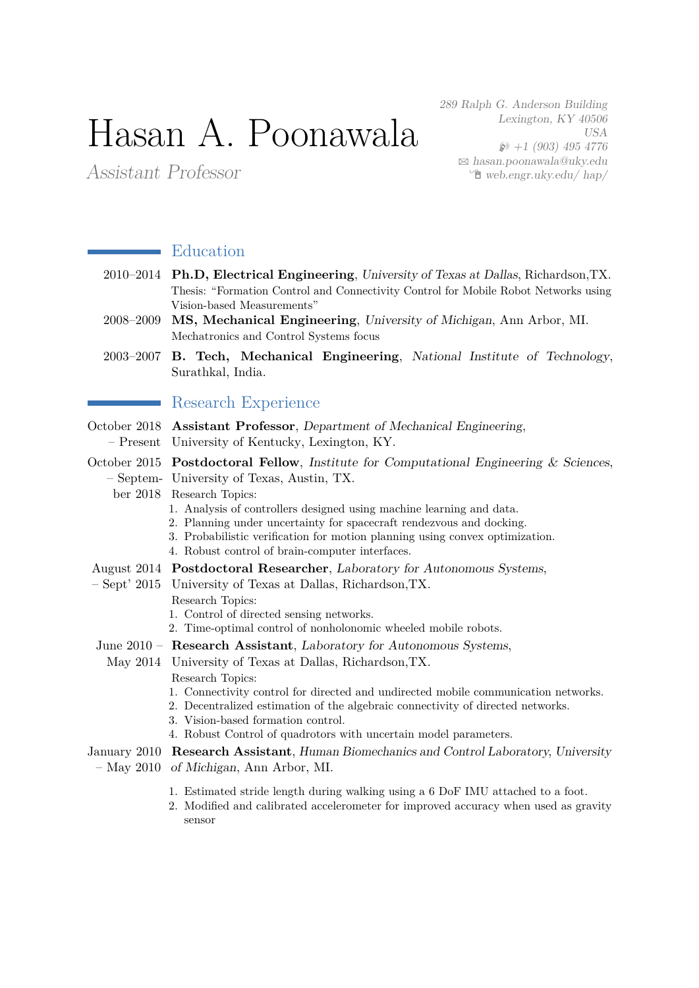# Hasan A. Poonawala

289 Ralph G. Anderson Building Lexington, KY 40506 USA  $\wp$  +1 (903) 495 4776  $\boxtimes$  [hasan.poonawala@uky.edu](mailto:hasan.poonawala@uky.edu)  $\hat{\mathbb{E}}$  [web.engr.uky.edu/ hap/](http://web.engr.uky.edu/~hap/)

Assistant Professor

# **Education**

- 2010–2014 **Ph.D, Electrical Engineering**, University of Texas at Dallas, Richardson,TX. Thesis: "Formation Control and Connectivity Control for Mobile Robot Networks using Vision-based Measurements"
- 2008–2009 **MS, Mechanical Engineering**, University of Michigan, Ann Arbor, MI. Mechatronics and Control Systems focus
- 2003–2007 **B. Tech, Mechanical Engineering**, National Institute of Technology, Surathkal, India.

## **Research Experience**

October 2018 **Assistant Professor**, Department of Mechanical Engineering, – Present University of Kentucky, Lexington, KY.

October 2015 Postdoctoral Fellow, Institute for Computational Engineering & Sciences, – Septem-University of Texas, Austin, TX.

ber 2018 Research Topics:

- 1. Analysis of controllers designed using machine learning and data.
- 2. Planning under uncertainty for spacecraft rendezvous and docking.
- 3. Probabilistic verification for motion planning using convex optimization.
	- 4. Robust control of brain-computer interfaces.
- August 2014 **Postdoctoral Researcher**, Laboratory for Autonomous Systems,
- Sept' 2015 University of Texas at Dallas, Richardson,TX.
	- Research Topics:
	- 1. Control of directed sensing networks.
	- 2. Time-optimal control of nonholonomic wheeled mobile robots.
- June 2010 **Research Assistant**, Laboratory for Autonomous Systems,
- May 2014 University of Texas at Dallas, Richardson,TX. Research Topics:
	- 1. Connectivity control for directed and undirected mobile communication networks.
	- 2. Decentralized estimation of the algebraic connectivity of directed networks.
	- 3. Vision-based formation control.
	- 4. Robust Control of quadrotors with uncertain model parameters.

#### January 2010 **Research Assistant**, Human Biomechanics and Control Laboratory, University – May 2010 of Michigan, Ann Arbor, MI.

- 1. Estimated stride length during walking using a 6 DoF IMU attached to a foot.
- 2. Modified and calibrated accelerometer for improved accuracy when used as gravity sensor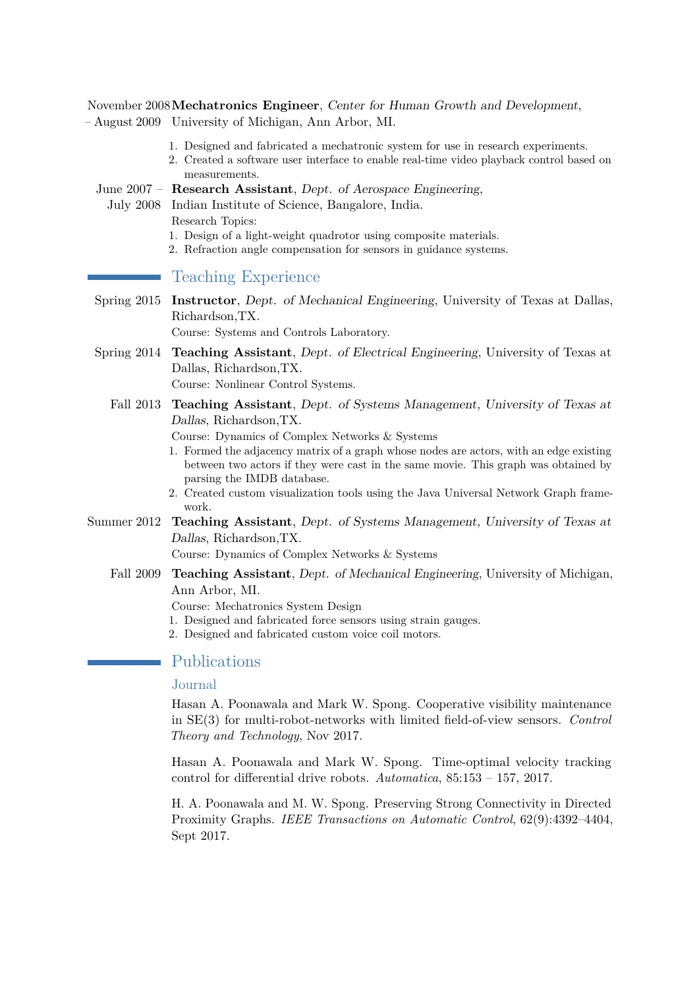November 2008 **Mechatronics Engineer**, Center for Human Growth and Development, – August 2009 University of Michigan, Ann Arbor, MI.

- 1. Designed and fabricated a mechatronic system for use in research experiments.
- 2. Created a software user interface to enable real-time video playback control based on measurements.

June 2007 – **Research Assistant**, Dept. of Aerospace Engineering,

July 2008 Indian Institute of Science, Bangalore, India.

Research Topics:

- 1. Design of a light-weight quadrotor using composite materials.
- 2. Refraction angle compensation for sensors in guidance systems.

# Teaching Experience

Spring 2015 **Instructor**, Dept. of Mechanical Engineering, University of Texas at Dallas, Richardson,TX.

Course: Systems and Controls Laboratory.

Spring 2014 **Teaching Assistant**, Dept. of Electrical Engineering, University of Texas at Dallas, Richardson,TX.

Course: Nonlinear Control Systems.

Fall 2013 **Teaching Assistant**, Dept. of Systems Management, University of Texas at Dallas, Richardson,TX.

Course: Dynamics of Complex Networks & Systems

- 1. Formed the adjacency matrix of a graph whose nodes are actors, with an edge existing between two actors if they were cast in the same movie. This graph was obtained by parsing the IMDB database.
- 2. Created custom visualization tools using the Java Universal Network Graph framework.
- Summer 2012 **Teaching Assistant**, Dept. of Systems Management, University of Texas at Dallas, Richardson,TX.

Course: Dynamics of Complex Networks & Systems

Fall 2009 **Teaching Assistant**, Dept. of Mechanical Engineering, University of Michigan, Ann Arbor, MI.

Course: Mechatronics System Design

- 1. Designed and fabricated force sensors using strain gauges.
- 2. Designed and fabricated custom voice coil motors.

# Publications

## Journal

Hasan A. Poonawala and Mark W. Spong. Cooperative visibility maintenance in SE(3) for multi-robot-networks with limited field-of-view sensors. *Control Theory and Technology*, Nov 2017.

Hasan A. Poonawala and Mark W. Spong. Time-optimal velocity tracking control for differential drive robots. *Automatica*, 85:153 – 157, 2017.

H. A. Poonawala and M. W. Spong. Preserving Strong Connectivity in Directed Proximity Graphs. *IEEE Transactions on Automatic Control*, 62(9):4392–4404, Sept 2017.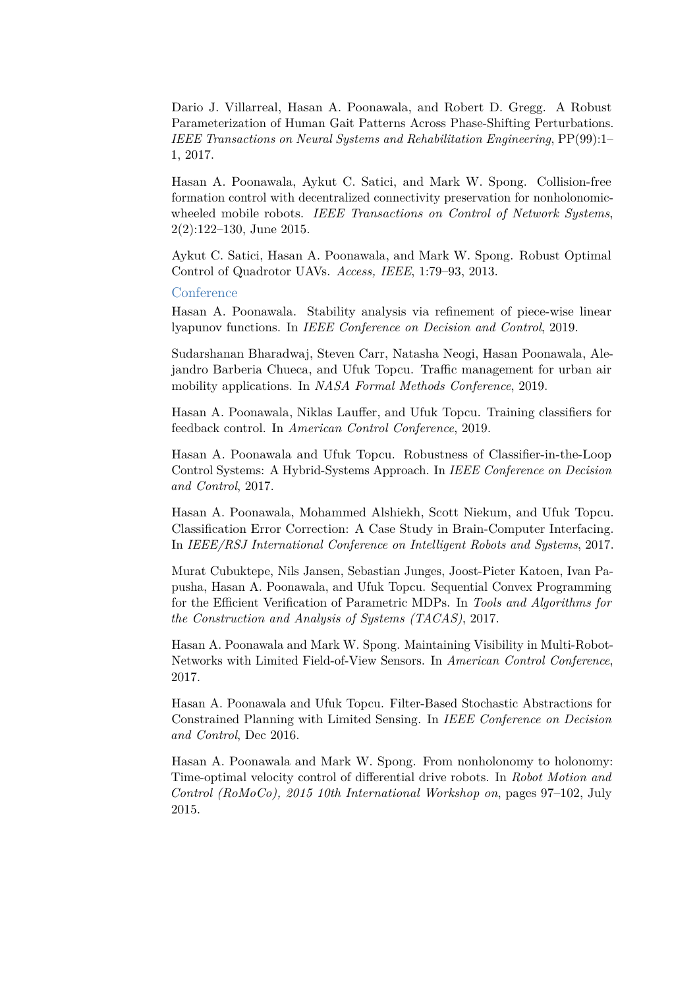Dario J. Villarreal, Hasan A. Poonawala, and Robert D. Gregg. A Robust Parameterization of Human Gait Patterns Across Phase-Shifting Perturbations. *IEEE Transactions on Neural Systems and Rehabilitation Engineering*, PP(99):1– 1, 2017.

Hasan A. Poonawala, Aykut C. Satici, and Mark W. Spong. Collision-free formation control with decentralized connectivity preservation for nonholonomicwheeled mobile robots. *IEEE Transactions on Control of Network Systems*, 2(2):122–130, June 2015.

Aykut C. Satici, Hasan A. Poonawala, and Mark W. Spong. Robust Optimal Control of Quadrotor UAVs. *Access, IEEE*, 1:79–93, 2013.

Conference

Hasan A. Poonawala. Stability analysis via refinement of piece-wise linear lyapunov functions. In *IEEE Conference on Decision and Control*, 2019.

Sudarshanan Bharadwaj, Steven Carr, Natasha Neogi, Hasan Poonawala, Alejandro Barberia Chueca, and Ufuk Topcu. Traffic management for urban air mobility applications. In *NASA Formal Methods Conference*, 2019.

Hasan A. Poonawala, Niklas Lauffer, and Ufuk Topcu. Training classifiers for feedback control. In *American Control Conference*, 2019.

Hasan A. Poonawala and Ufuk Topcu. Robustness of Classifier-in-the-Loop Control Systems: A Hybrid-Systems Approach. In *IEEE Conference on Decision and Control*, 2017.

Hasan A. Poonawala, Mohammed Alshiekh, Scott Niekum, and Ufuk Topcu. Classification Error Correction: A Case Study in Brain-Computer Interfacing. In *IEEE/RSJ International Conference on Intelligent Robots and Systems*, 2017.

Murat Cubuktepe, Nils Jansen, Sebastian Junges, Joost-Pieter Katoen, Ivan Papusha, Hasan A. Poonawala, and Ufuk Topcu. Sequential Convex Programming for the Efficient Verification of Parametric MDPs. In *Tools and Algorithms for the Construction and Analysis of Systems (TACAS)*, 2017.

Hasan A. Poonawala and Mark W. Spong. Maintaining Visibility in Multi-Robot-Networks with Limited Field-of-View Sensors. In *American Control Conference*, 2017.

Hasan A. Poonawala and Ufuk Topcu. Filter-Based Stochastic Abstractions for Constrained Planning with Limited Sensing. In *IEEE Conference on Decision and Control*, Dec 2016.

Hasan A. Poonawala and Mark W. Spong. From nonholonomy to holonomy: Time-optimal velocity control of differential drive robots. In *Robot Motion and Control (RoMoCo), 2015 10th International Workshop on*, pages 97–102, July 2015.